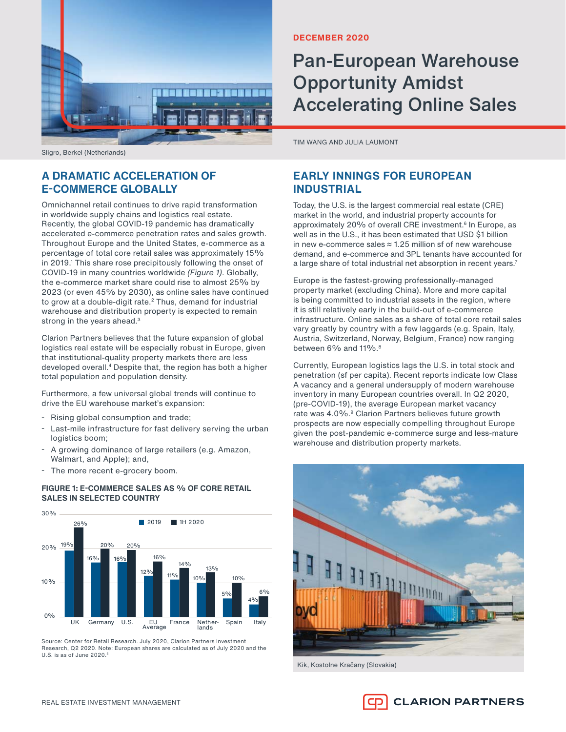

Sligro, Berkel (Netherlands)

# **A DRAMATIC ACCELERATION OF E-COMMERCE GLOBALLY**

Omnichannel retail continues to drive rapid transformation in worldwide supply chains and logistics real estate. Recently, the global COVID-19 pandemic has dramatically accelerated e-commerce penetration rates and sales growth. Throughout Europe and the United States, e-commerce as a percentage of total core retail sales was approximately 15% in 2019.<sup>1</sup> This share rose precipitously following the onset of COVID-19 in many countries worldwide (Figure 1). Globally, the e-commerce market share could rise to almost 25% by 2023 (or even 45% by 2030), as online sales have continued to grow at a double-digit rate.<sup>2</sup> Thus, demand for industrial warehouse and distribution property is expected to remain strong in the years ahead.<sup>3</sup>

Clarion Partners believes that the future expansion of global logistics real estate will be especially robust in Europe, given that institutional-quality property markets there are less developed overall.<sup>4</sup> Despite that, the region has both a higher total population and population density.

Furthermore, a few universal global trends will continue to drive the EU warehouse market's expansion:

- Rising global consumption and trade;
- Last-mile infrastructure for fast delivery serving the urban logistics boom;
- A growing dominance of large retailers (e.g. Amazon, Walmart, and Apple); and,
- The more recent e-grocery boom.

## **FIGURE 1: E-COMMERCE SALES AS % OF CORE RETAIL SALES IN SELECTED COUNTRY**



Source: Center for Retail Research. July 2020, Clarion Partners Investment Research, Q2 2020. Note: European shares are calculated as of July 2020 and the U.S. is as of June  $2020$ .<sup>5</sup>

## **DECEMBER 2020**

# Pan-European Warehouse Opportunity Amidst Accelerating Online Sales

TIM WANG AND JULIA LAUMONT

# **EARLY INNINGS FOR EUROPEAN INDUSTRIAL**

Today, the U.S. is the largest commercial real estate (CRE) market in the world, and industrial property accounts for approximately 20% of overall CRE investment.<sup>6</sup> In Europe, as well as in the U.S., it has been estimated that USD \$1 billion in new e-commerce sales ≈ 1.25 million sf of new warehouse demand, and e-commerce and 3PL tenants have accounted for a large share of total industrial net absorption in recent years.<sup>7</sup>

Europe is the fastest-growing professionally-managed property market (excluding China). More and more capital is being committed to industrial assets in the region, where it is still relatively early in the build-out of e-commerce infrastructure. Online sales as a share of total core retail sales vary greatly by country with a few laggards (e.g. Spain, Italy, Austria, Switzerland, Norway, Belgium, France) now ranging between 6% and 11%.<sup>8</sup>

Currently, European logistics lags the U.S. in total stock and penetration (sf per capita). Recent reports indicate low Class A vacancy and a general undersupply of modern warehouse inventory in many European countries overall. In Q2 2020, (pre-COVID-19), the average European market vacancy rate was 4.0%.<sup>9</sup> Clarion Partners believes future growth prospects are now especially compelling throughout Europe given the post-pandemic e-commerce surge and less-mature warehouse and distribution property markets.



Kik, Kostolne Kračany (Slovakia)